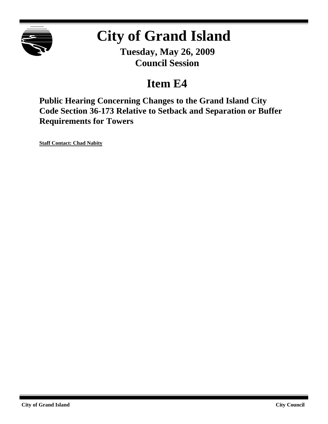

# **City of Grand Island**

**Tuesday, May 26, 2009 Council Session**

## **Item E4**

**Public Hearing Concerning Changes to the Grand Island City Code Section 36-173 Relative to Setback and Separation or Buffer Requirements for Towers**

**Staff Contact: Chad Nabity**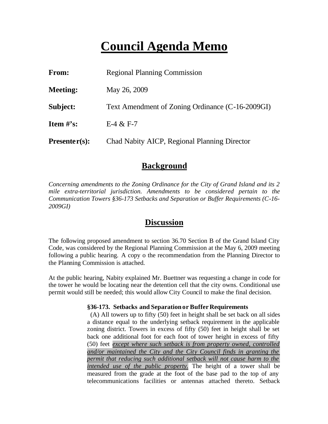## **Council Agenda Memo**

| From:           | <b>Regional Planning Commission</b>              |
|-----------------|--------------------------------------------------|
| <b>Meeting:</b> | May 26, 2009                                     |
| Subject:        | Text Amendment of Zoning Ordinance (C-16-2009GI) |
| Item $\#$ 's:   | $E-4 & E-7$                                      |
| $Presenter(s):$ | Chad Nabity AICP, Regional Planning Director     |

### **Background**

*Concerning amendments to the Zoning Ordinance for the City of Grand Island and its 2 mile extra-territorial jurisdiction. Amendments to be considered pertain to the Communication Towers §36-173 Setbacks and Separation or Buffer Requirements (C-16- 2009GI)*

### **Discussion**

The following proposed amendment to section 36.70 Section B of the Grand Island City Code, was considered by the Regional Planning Commission at the May 6, 2009 meeting following a public hearing. A copy o the recommendation from the Planning Director to the Planning Commission is attached.

At the public hearing, Nabity explained Mr. Buettner was requesting a change in code for the tower he would be locating near the detention cell that the city owns. Conditional use permit would still be needed; this would allow City Council to make the final decision.

#### **§36-173. Setbacks and Separationor Buffer Requirements**

(A) All towers up to fifty (50) feet in height shall be set back on all sides a distance equal to the underlying setback requirement in the applicable zoning district. Towers in excess of fifty (50) feet in height shall be set back one additional foot for each foot of tower height in excess of fifty (50) feet *except where such setback is from property owned, controlled and/or maintained the City and the City Council finds in granting the permit that reducing such additional setback will not cause harm to the intended use of the public property.* The height of a tower shall be measured from the grade at the foot of the base pad to the top of any telecommunications facilities or antennas attached thereto. Setback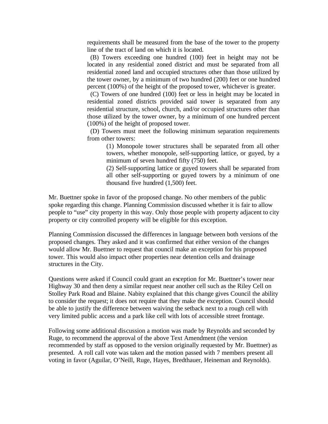requirements shall be measured from the base of the tower to the property line of the tract of land on which it is located.

 (B) Towers exceeding one hundred (100) feet in height may not be located in any residential zoned district and must be separated from all residential zoned land and occupied structures other than those utilized by the tower owner, by a minimum of two hundred (200) feet or one hundred percent (100%) of the height of the proposed tower, whichever is greater.

 (C) Towers of one hundred (100) feet or less in height may be located in residential zoned districts provided said tower is separated from any residential structure, school, church, and/or occupied structures other than those utilized by the tower owner, by a minimum of one hundred percent (100%) of the height of proposed tower.

 (D) Towers must meet the following minimum separation requirements from other towers:

(1) Monopole tower structures shall be separated from all other towers, whether monopole, self-supporting lattice, or guyed, by a minimum of seven hundred fifty (750) feet.

(2) Self-supporting lattice or guyed towers shall be separated from all other self-supporting or guyed towers by a minimum of one thousand five hundred (1,500) feet.

Mr. Buettner spoke in favor of the proposed change. No other members of the public spoke regarding this change. Planning Commission discussed whether it is fair to allow people to "use" city property in this way. Only those people with property adjacent to city property or city controlled property will be eligible for this exception.

Planning Commission discussed the differences in language between both versions of the proposed changes. They asked and it was confirmed that either version of the changes would allow Mr. Buettner to request that council make an exception for his proposed tower. This would also impact other properties near detention cells and drainage structures in the City.

Questions were asked if Council could grant an exception for Mr. Buettner's tower near Highway 30 and then deny a similar request near another cell such as the Riley Cell on Stolley Park Road and Blaine. Nabity explained that this change gives Council the ability to consider the request; it does not require that they make the exception. Council should be able to justify the difference between waiving the setback next to a rough cell with very limited public access and a park like cell with lots of accessible street frontage.

Following some additional discussion a motion was made by Reynolds and seconded by Ruge, to recommend the approval of the above Text Amendment (the version recommended by staff as opposed to the version originally requested by Mr. Buettner) as presented. A roll call vote was taken and the motion passed with 7 members present all voting in favor (Aguilar, O'Neill, Ruge, Hayes, Bredthauer, Heineman and Reynolds).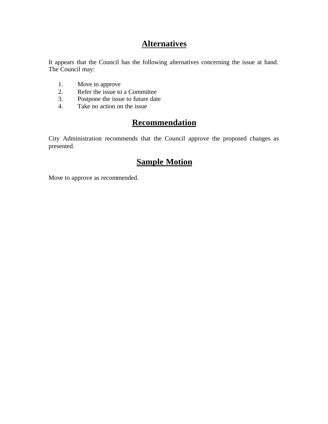## **Alternatives**

It appears that the Council has the following alternatives concerning the issue at hand. The Council may:

- 1. Move to approve
- 2. Refer the issue to a Committee<br>3. Postpone the issue to future date
- Postpone the issue to future date
- 4. Take no action on the issue

## **Recommendation**

City Administration recommends that the Council approve the proposed changes as presented.

## **Sample Motion**

Move to approve as recommended.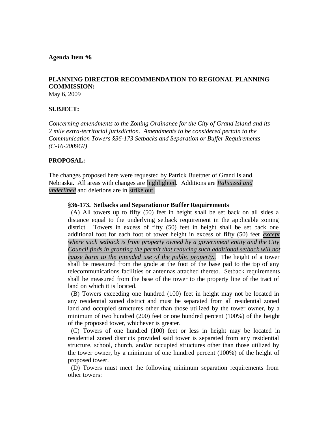#### **Agenda Item #6**

#### **PLANNING DIRECTOR RECOMMENDATION TO REGIONAL PLANNING COMMISSION:**

May 6, 2009

#### **SUBJECT:**

*Concerning amendments to the Zoning Ordinance for the City of Grand Island and its 2 mile extra-territorial jurisdiction. Amendments to be considered pertain to the Communication Towers §36-173 Setbacks and Separation or Buffer Requirements (C-16-2009GI)* 

#### **PROPOSAL:**

The changes proposed here were requested by Patrick Buettner of Grand Island, Nebraska. All areas with changes are highlighted. Additions are *Italicized and underlined* and deletions are in strike out.

#### **§36-173. Setbacks and Separationor Buffer Requirements**

(A) All towers up to fifty (50) feet in height shall be set back on all sides a distance equal to the underlying setback requirement in the applicable zoning district. Towers in excess of fifty (50) feet in height shall be set back one additional foot for each foot of tower height in excess of fifty (50) feet *except where such setback is from property owned by a government entity and the City Council finds in granting the permit that reducing such additional setback will not cause harm to the intended use of the public property..* The height of a tower shall be measured from the grade at the foot of the base pad to the top of any telecommunications facilities or antennas attached thereto. Setback requirements shall be measured from the base of the tower to the property line of the tract of land on which it is located.

 (B) Towers exceeding one hundred (100) feet in height may not be located in any residential zoned district and must be separated from all residential zoned land and occupied structures other than those utilized by the tower owner, by a minimum of two hundred (200) feet or one hundred percent (100%) of the height of the proposed tower, whichever is greater.

 (C) Towers of one hundred (100) feet or less in height may be located in residential zoned districts provided said tower is separated from any residential structure, school, church, and/or occupied structures other than those utilized by the tower owner, by a minimum of one hundred percent (100%) of the height of proposed tower.

 (D) Towers must meet the following minimum separation requirements from other towers: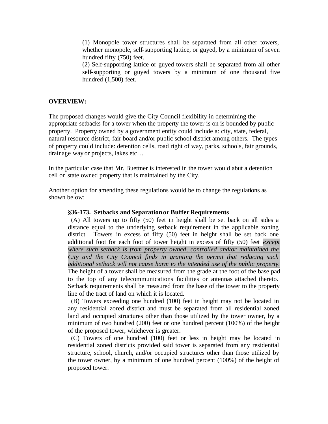(1) Monopole tower structures shall be separated from all other towers, whether monopole, self-supporting lattice, or guyed, by a minimum of seven hundred fifty (750) feet.

(2) Self-supporting lattice or guyed towers shall be separated from all other self-supporting or guyed towers by a minimum of one thousand five hundred (1,500) feet.

#### **OVERVIEW:**

The proposed changes would give the City Council flexibility in determining the appropriate setbacks for a tower when the property the tower is on is bounded by public property. Property owned by a government entity could include a: city, state, federal, natural resource district, fair board and/or public school district among others. The types of property could include: detention cells, road right of way, parks, schools, fair grounds, drainage way or projects, lakes etc…

In the particular case that Mr. Buettner is interested in the tower would abut a detention cell on state owned property that is maintained by the City.

Another option for amending these regulations would be to change the regulations as shown below:

#### **§36-173. Setbacks and Separationor Buffer Requirements**

(A) All towers up to fifty (50) feet in height shall be set back on all sides a distance equal to the underlying setback requirement in the applicable zoning district. Towers in excess of fifty (50) feet in height shall be set back one additional foot for each foot of tower height in excess of fifty (50) feet *except where such setback is from property owned, controlled and/or maintained the City and the City Council finds in granting the permit that reducing such additional setback will not cause harm to the intended use of the public property.* The height of a tower shall be measured from the grade at the foot of the base pad to the top of any telecommunications facilities or antennas attached thereto. Setback requirements shall be measured from the base of the tower to the property line of the tract of land on which it is located.

 (B) Towers exceeding one hundred (100) feet in height may not be located in any residential zoned district and must be separated from all residential zoned land and occupied structures other than those utilized by the tower owner, by a minimum of two hundred (200) feet or one hundred percent (100%) of the height of the proposed tower, whichever is greater.

 (C) Towers of one hundred (100) feet or less in height may be located in residential zoned districts provided said tower is separated from any residential structure, school, church, and/or occupied structures other than those utilized by the tower owner, by a minimum of one hundred percent (100%) of the height of proposed tower.